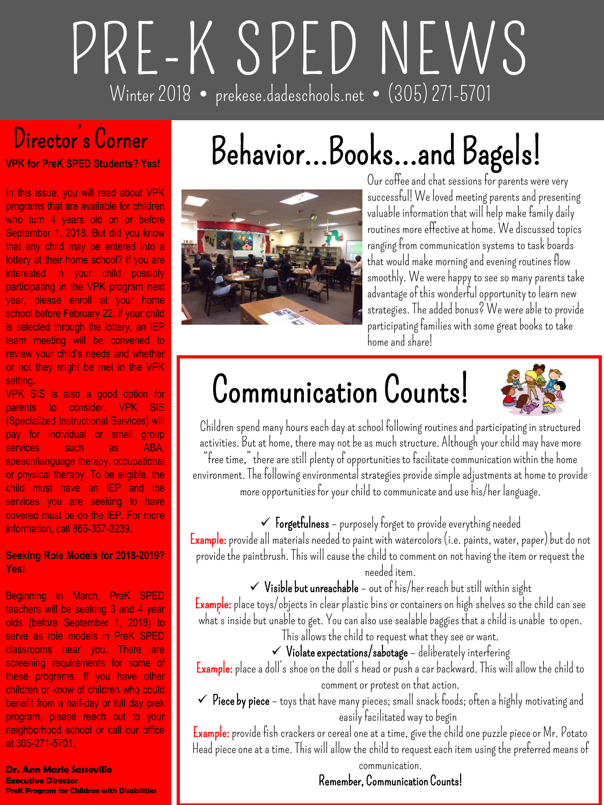# **PRE-K SPED NEWS Winter 2018 prekese.dadeschools.net (305) 271-5701**

## **Director's Corner**

**VPK for PreK SPED Students? Yes!**

In this issue, you will read about VPK programs that are available for children who turn 4 years old on or before September 1, 2018. But did you know that any child may be entered into a lottery at their home school? If you are interested in your child possibly participating in the VPK program next year, please enroll at your home school before February 22. If your child is selected through the lottery, an IEP team meeting will be convened to review your child's needs and whether or not they might be met in the VPK **setting** 

VPK SIS is also a good option for parents to consider. VPK SIS (Specialized Instructional Services) will pay for individual or small group services such as ABA, speech/language therapy, occupational or physical therapy. To be eligible, the child must have an IEP and the services you are seeking to have covered must be on the IEP. For more information, call 866-357-3239.

#### **Seeking Role Models for 2018-2019? Yes!**

Beginning in March, PreK SPED teachers will be seeking 3 and 4 year olds (before September 1, 2018) to serve as role models in PreK SPED classrooms near you. There are screening requirements for some of these programs. If you have other children or know of children who could benefit from a half-day or full day prek program, please reach out to your neighborhood school or call our office at 305-271-5701.

#### **Dr. Ann Marie Sasseville Executive Director**

**PreK Program for Children with Disabilities**

# **Behavior…Books…and Bagels!**



**Our coffee and chat sessions for parents were very successful! We loved meeting parents and presenting valuable information that will help make family daily routines more effective at home. We discussed topics ranging from communication systems to task boards that would make morning and evening routines flow smoothly. We were happy to see so many parents take advantage of this wonderful opportunity to learn new strategies. The added bonus? We were able to provide participating families with some great books to take home and share!**

# **Communication Counts!**



**Children spend many hours each day at school following routines and participating in structured activities. But at home, there may not be as much structure. Although your child may have more "free time," there are still plenty of opportunities to facilitate communication within the home** 

**environment. The following environmental strategies provide simple adjustments at home to provide more opportunities for your child to communicate and use his/her language.**

 **Forgetfulness – purposely forget to provide everything needed Example: provide all materials needed to paint with watercolors (i.e. paints, water, paper) but do not provide the paintbrush. This will cause the child to comment on not having the item or request the needed item.**

**Visible but unreachable – out of his/her reach but still within sight**

**Example:place toys/objects in clear plastic bins or containers on high shelves so the child can see what's inside but unable to get. You can also use sealable baggies that a child is unable to open. This allows the child to request what they see or want.**

**Violate expectations/sabotage – deliberately interfering**

**Example:place a doll's shoe on the doll's head or push a car backward. This will allow the child to comment or protest on that action.**

 **Piece by piece – toys that have many pieces; small snack foods; often a highly motivating and easily facilitated way to begin**

**Example:provide fish crackers or cereal one at a time, give the child one puzzle piece or Mr. Potato Head piece one at a time. This will allow the child to request each item using the preferred means of communication.**

### **Remember, Communication Counts!**